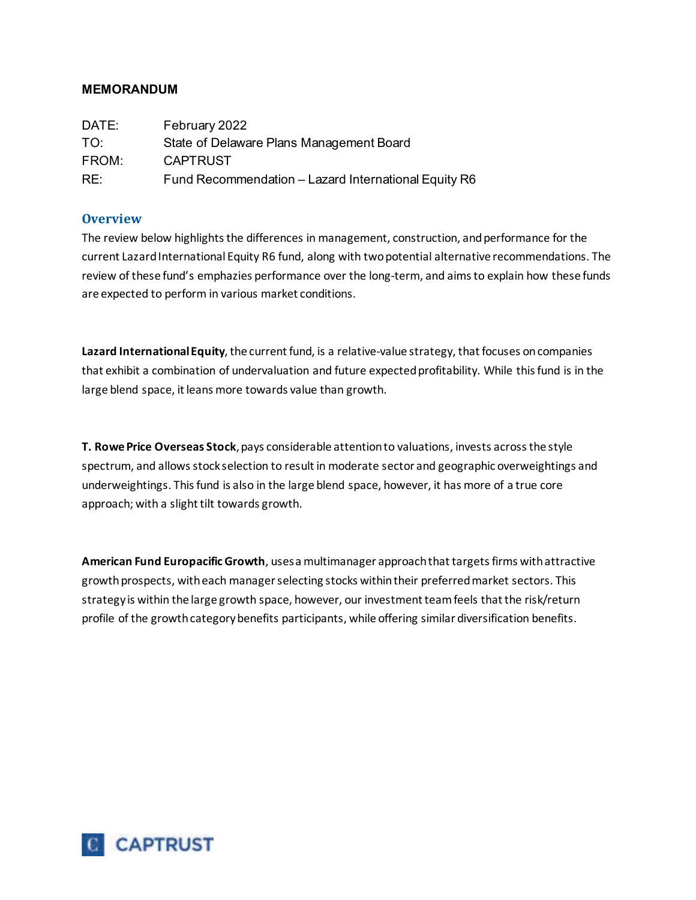# **MEMORANDUM**

| DATE:           | February 2022                                        |
|-----------------|------------------------------------------------------|
| TO <sup>.</sup> | State of Delaware Plans Management Board             |
| FROM:           | <b>CAPTRUST</b>                                      |
| RE:             | Fund Recommendation - Lazard International Equity R6 |

# **Overview**

The review below highlights the differences in management, construction, and performance for the current Lazard International Equity R6 fund, along with two potential alternative recommendations. The review of these fund's emphazies performance over the long-term, and aims to explain how these funds are expected to perform in various market conditions.

**Lazard International Equity**, the current fund, is a relative-value strategy, that focuses on companies that exhibit a combination of undervaluation and future expected profitability. While this fund is in the large blend space, it leans more towards value than growth.

**T. Rowe Price Overseas Stock**, pays considerable attention to valuations, invests across the style spectrum, and allows stock selection to result in moderate sector and geographic overweightings and underweightings. This fund is also in the large blend space, however, it has more of a true core approach; with a slight tilt towards growth.

**American Fund Europacific Growth**, uses a multimanager approach that targets firms with attractive growth prospects, with each manager selecting stocks within their preferred market sectors. This strategy is within the large growth space, however, our investment team feels that the risk/return profile of the growth category benefits participants, while offering similar diversification benefits.

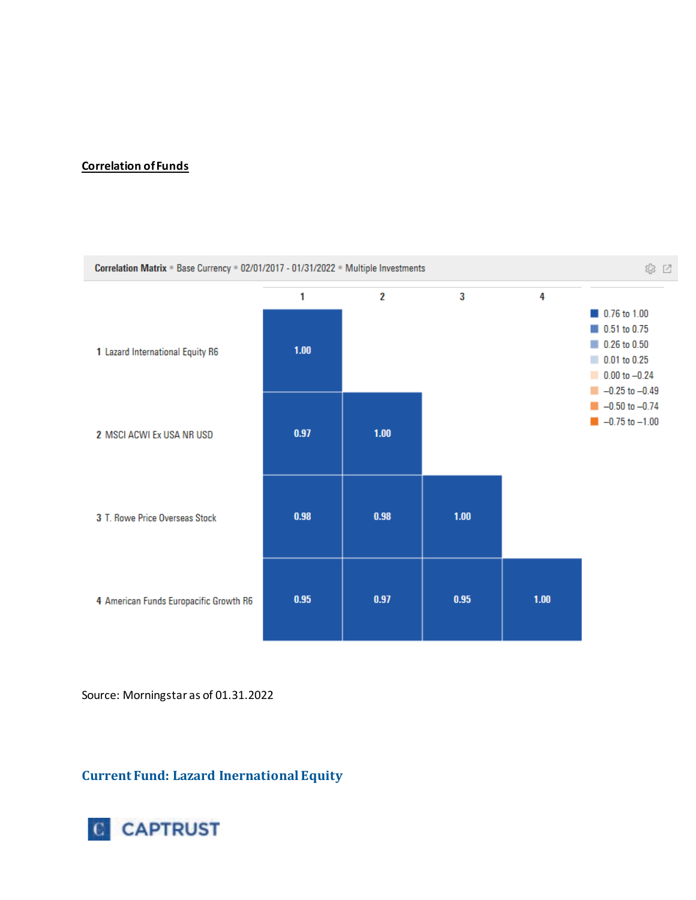### **Correlation of Funds**



Source: Morningstar as of 01.31.2022

**Current Fund: Lazard Inernational Equity**

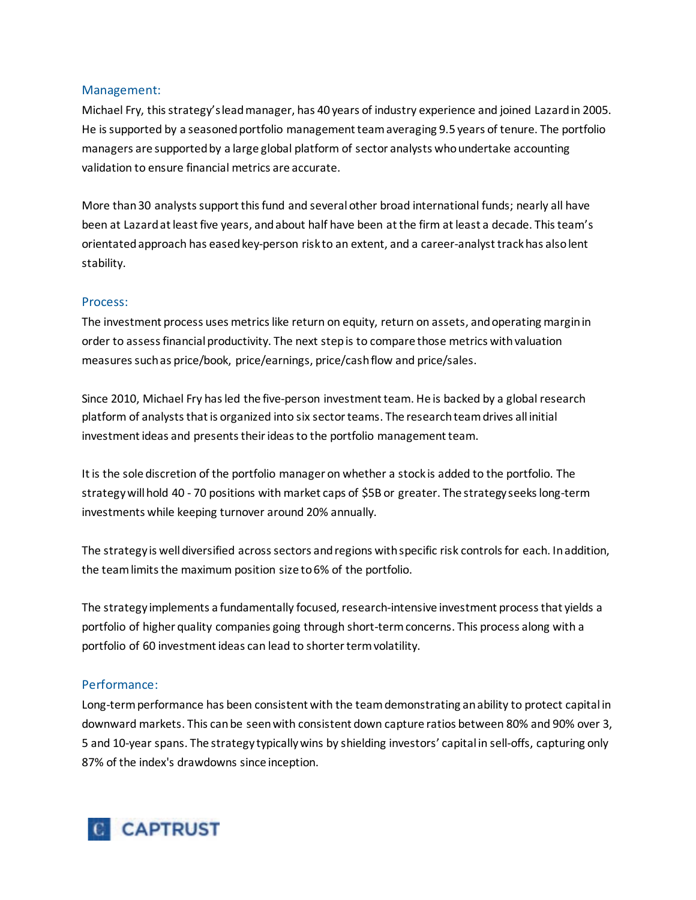### Management:

Michael Fry, this strategy's lead manager, has 40 years of industry experience and joined Lazard in 2005. He is supported by a seasoned portfolio management team averaging 9.5 years of tenure. The portfolio managers are supported by a large global platform of sector analysts who undertake accounting validation to ensure financial metrics are accurate.

More than 30 analysts support this fund and several other broad international funds; nearly all have been at Lazard at least five years, and about half have been at the firm at least a decade. This team's orientated approach has easedkey-person risk to an extent, and a career-analyst track has also lent stability.

### Process:

The investment process uses metrics like return on equity, return on assets, and operating margin in order to assess financial productivity. The next step is to compare those metrics with valuation measures suchas price/book, price/earnings, price/cash flow and price/sales.

Since 2010, Michael Fry has led the five-person investment team. He is backed by a global research platform of analysts that is organized into six sector teams. The research team drives all initial investment ideas and presents their ideas to the portfolio management team.

It is the sole discretion of the portfolio manager on whether a stock is added to the portfolio. The strategy will hold 40 - 70 positions with market caps of \$5B or greater. The strategy seeks long-term investments while keeping turnover around 20% annually.

The strategy is well diversified across sectors and regions with specific risk controls for each. In addition, the team limits the maximum position size to 6% of the portfolio.

The strategy implements a fundamentally focused, research-intensive investment process that yields a portfolio of higher quality companies going through short-term concerns. This process along with a portfolio of 60 investment ideas can lead to shorter term volatility.

# Performance:

Long-term performance has been consistent with the team demonstrating an ability to protect capital in downward markets. This can be seen with consistent down capture ratios between 80% and 90% over 3, 5 and 10-year spans. The strategy typically wins by shielding investors' capital in sell-offs, capturing only 87% of the index's drawdowns since inception.

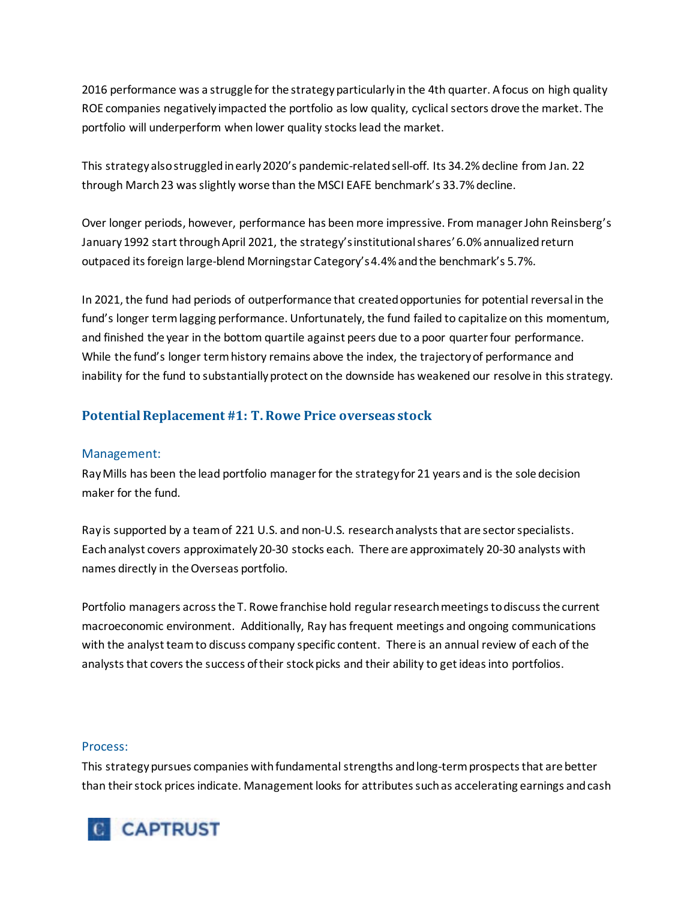2016 performance was a struggle for the strategy particularly in the 4th quarter. A focus on high quality ROE companies negatively impacted the portfolio as low quality, cyclical sectors drove the market. The portfolio will underperform when lower quality stocks lead the market.

This strategy also struggled in early 2020's pandemic-related sell-off. Its 34.2% decline from Jan. 22 through March 23 was slightly worse than the MSCI EAFE benchmark's 33.7% decline.

Over longer periods, however, performance has been more impressive. From manager John Reinsberg's January 1992 start through April 2021, the strategy's institutional shares' 6.0% annualized return outpaced its foreign large-blend Morningstar Category's 4.4% and the benchmark's 5.7%.

In 2021, the fund had periods of outperformance that created opportunies for potential reversal in the fund's longer term lagging performance. Unfortunately, the fund failed to capitalize on this momentum, and finished the year in the bottom quartile against peers due to a poor quarter four performance. While the fund's longer term history remains above the index, the trajectory of performance and inability for the fund to substantially protect on the downside has weakened our resolve in this strategy.

# **Potential Replacement #1: T. Rowe Price overseas stock**

# Management:

Ray Mills has been the lead portfolio manager for the strategy for 21 years and is the sole decision maker for the fund.

Ray is supported by a team of 221 U.S. and non-U.S. research analysts that are sector specialists. Each analyst covers approximately 20-30 stocks each. There are approximately 20-30 analysts with names directly in the Overseas portfolio.

Portfolio managers across the T. Rowe franchise hold regular research meetings to discuss the current macroeconomic environment. Additionally, Ray has frequent meetings and ongoing communications with the analyst team to discuss company specific content. There is an annual review of each of the analysts that covers the success of their stock picks and their ability to get ideas into portfolios.

#### Process:

This strategypursues companies with fundamental strengths and long-term prospects that are better than their stock prices indicate. Management looks for attributes such as accelerating earnings and cash

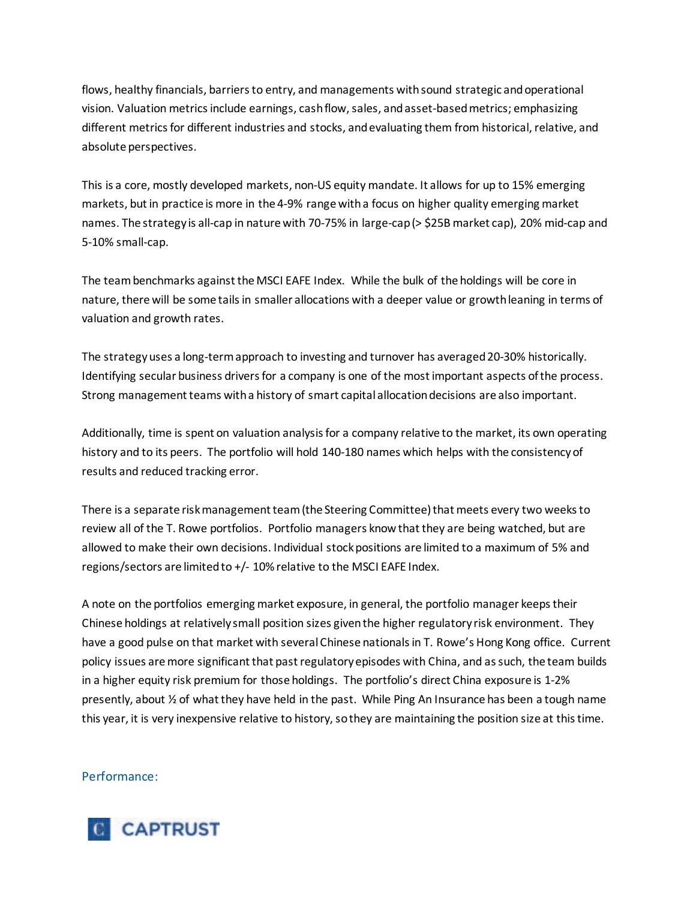flows, healthy financials, barriers to entry, and managements with sound strategic and operational vision. Valuation metrics include earnings, cash flow, sales, and asset-based metrics; emphasizing different metrics for different industries and stocks, and evaluating them from historical, relative, and absolute perspectives.

This is a core, mostly developed markets, non-US equity mandate. It allows for up to 15% emerging markets, but in practice is more in the 4-9% range with a focus on higher quality emerging market names. The strategy is all-cap in nature with 70-75% in large-cap (> \$25B market cap), 20% mid-cap and 5-10% small-cap.

The team benchmarks against the MSCI EAFE Index. While the bulk of the holdings will be core in nature, there will be some tails in smaller allocations with a deeper value or growth leaning in terms of valuation and growth rates.

The strategy uses a long-term approach to investing and turnover has averaged 20-30% historically. Identifying secular business drivers for a company is one of the most important aspects of the process. Strong management teams with a history of smart capital allocation decisions are also important.

Additionally, time is spent on valuation analysis for a company relative to the market, its own operating history and to its peers. The portfolio will hold 140-180 names which helps with the consistency of results and reduced tracking error.

There is a separate risk management team (the Steering Committee) that meets every two weeks to review all of the T. Rowe portfolios. Portfolio managers know that they are being watched, but are allowed to make their own decisions. Individual stock positions are limited to a maximum of 5% and regions/sectors are limited to +/- 10% relative to the MSCI EAFE Index.

A note on the portfolios emerging market exposure, in general, the portfolio manager keeps their Chinese holdings at relatively small position sizes given the higher regulatory risk environment. They have a good pulse on that market with several Chinese nationals in T. Rowe's Hong Kong office. Current policy issues are more significant that past regulatory episodes with China, and as such, the team builds in a higher equity risk premium for those holdings. The portfolio's direct China exposure is 1-2% presently, about ½ of what they have held in the past. While Ping An Insurance has been a tough name this year, it is very inexpensive relative to history, so they are maintaining the position size at this time.

### Performance:

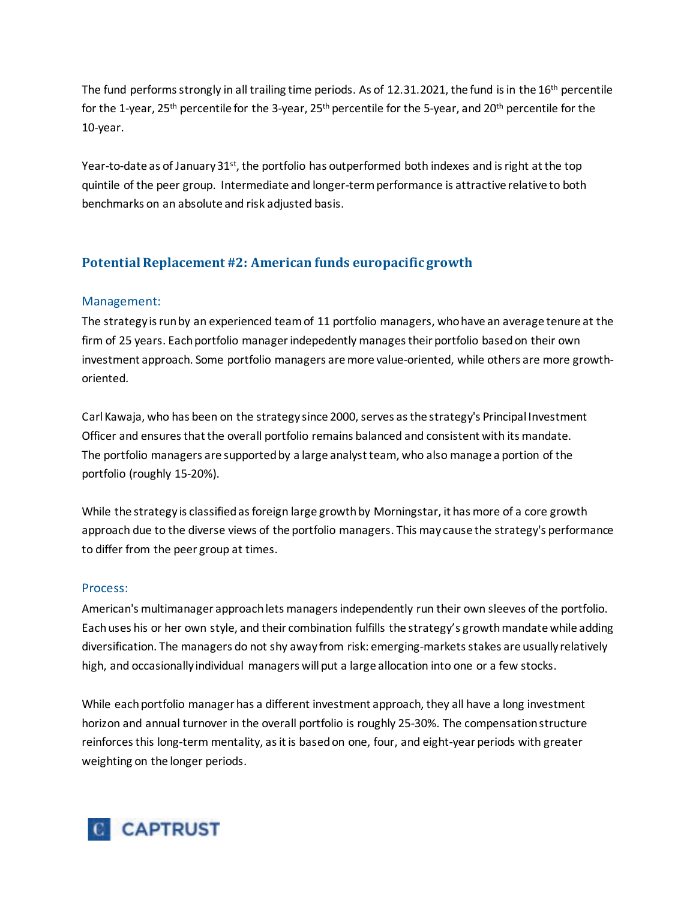The fund performs strongly in all trailing time periods. As of 12.31.2021, the fund is in the 16<sup>th</sup> percentile for the 1-year, 25<sup>th</sup> percentile for the 3-year, 25<sup>th</sup> percentile for the 5-year, and 20<sup>th</sup> percentile for the 10-year.

Year-to-date as of January  $31^{st}$ , the portfolio has outperformed both indexes and is right at the top quintile of the peer group. Intermediate and longer-term performance is attractive relative to both benchmarks on an absolute and risk adjusted basis.

# **Potential Replacement #2: American funds europacific growth**

# Management:

The strategy is run by an experienced team of 11 portfolio managers, who have an average tenure at the firm of 25 years. Each portfolio managerindepedently manages their portfolio based on their own investment approach. Some portfolio managers are more value-oriented, while others are more growthoriented.

Carl Kawaja, who has been on the strategy since 2000, serves as the strategy's Principal Investment Officer and ensures that the overall portfolio remains balanced and consistent with its mandate. The portfolio managers are supported by a large analyst team, who also manage a portion of the portfolio (roughly 15-20%).

While the strategy is classified as foreign large growth by Morningstar, it has more of a core growth approach due to the diverse views of the portfolio managers. This may cause the strategy's performance to differ from the peer group at times.

### Process:

American's multimanager approach lets managers independently run their own sleeves of the portfolio. Each uses his or her own style, and their combination fulfills the strategy's growth mandate while adding diversification. The managers do not shy away from risk: emerging-markets stakes are usually relatively high, and occasionally individual managers will put a large allocation into one or a few stocks.

While each portfolio manager has a different investment approach, they all have a long investment horizon and annual turnover in the overall portfolio is roughly 25-30%. The compensation structure reinforces this long-term mentality, as it is based on one, four, and eight-year periods with greater weighting on the longer periods.

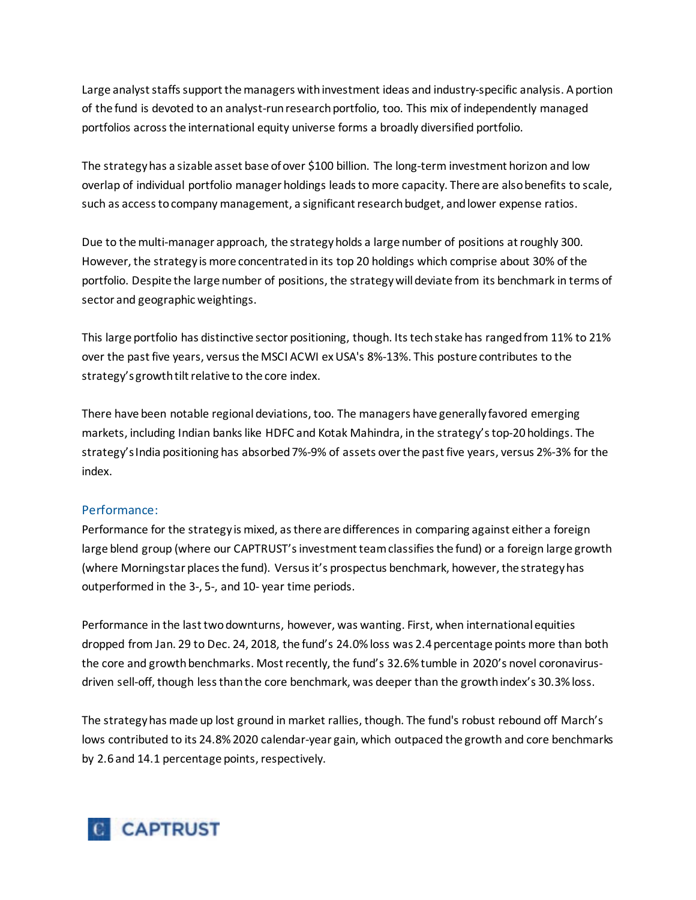Large analyst staffs support the managers with investment ideas and industry-specific analysis. A portion of the fund is devoted to an analyst-run research portfolio, too. This mix of independently managed portfolios across the international equity universe forms a broadly diversified portfolio.

The strategy has a sizable asset base of over \$100 billion. The long-term investment horizon and low overlap of individual portfolio manager holdings leads to more capacity. There are also benefits to scale, such as access to company management, a significant research budget, and lower expense ratios.

Due to the multi-manager approach, the strategy holds a large number of positions at roughly 300. However, the strategy is more concentrated in its top 20 holdings which comprise about 30% of the portfolio. Despite the large number of positions, the strategy will deviate from its benchmark in terms of sector and geographic weightings.

This large portfolio has distinctive sector positioning, though. Its tech stake has ranged from 11% to 21% over the past five years, versus the MSCI ACWI ex USA's 8%-13%. This posture contributes to the strategy's growth tilt relative to the core index.

There have been notable regional deviations, too. The managers have generally favored emerging markets, including Indian banks like HDFC and Kotak Mahindra, in the strategy's top-20 holdings. The strategy's India positioning has absorbed 7%-9% of assets over the past five years, versus 2%-3% for the index.

### Performance:

Performance for the strategy is mixed, as there are differences in comparing against either a foreign large blend group (where our CAPTRUST's investment team classifies the fund) or a foreign large growth (where Morningstar places the fund). Versus it's prospectus benchmark, however, the strategy has outperformed in the 3-, 5-, and 10- year time periods.

Performance in the last two downturns, however, was wanting. First, when international equities dropped from Jan. 29 to Dec. 24, 2018, the fund's 24.0% loss was 2.4 percentage points more than both the core and growth benchmarks. Most recently, the fund's 32.6% tumble in 2020's novel coronavirusdriven sell-off, though less than the core benchmark, was deeper than the growth index's 30.3% loss.

The strategy has made up lost ground in market rallies, though. The fund's robust rebound off March's lows contributed to its 24.8% 2020 calendar-year gain, which outpaced the growth and core benchmarks by 2.6 and 14.1 percentage points, respectively.